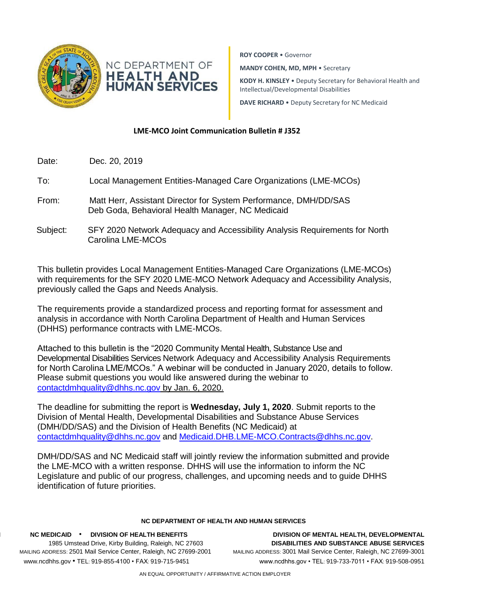

**ROY COOPER** • Governor

**MANDY COHEN, MD, MPH** • Secretary

**KODY H. KINSLEY** • Deputy Secretary for Behavioral Health and Intellectual/Developmental Disabilities

**DAVE RICHARD** • Deputy Secretary for NC Medicaid

## **LME-MCO Joint Communication Bulletin # J352**

- Date: Dec. 20, 2019
- To: Local Management Entities-Managed Care Organizations (LME-MCOs)
- From: Matt Herr, Assistant Director for System Performance, DMH/DD/SAS Deb Goda, Behavioral Health Manager, NC Medicaid
- Subject: SFY 2020 Network Adequacy and Accessibility Analysis Requirements for North Carolina LME-MCOs

This bulletin provides Local Management Entities-Managed Care Organizations (LME-MCOs) with requirements for the SFY 2020 LME-MCO Network Adequacy and Accessibility Analysis, previously called the Gaps and Needs Analysis.

The requirements provide a standardized process and reporting format for assessment and analysis in accordance with North Carolina Department of Health and Human Services (DHHS) performance contracts with LME-MCOs.

Attached to this bulletin is the "2020 Community Mental Health, Substance Use and Developmental Disabilities Services Network Adequacy and Accessibility Analysis Requirements for North Carolina LME/MCOs." A webinar will be conducted in January 2020, details to follow. Please submit questions you would like answered during the webinar to [contactdmhquality@dhhs.nc.gov](mailto:contactdmhquality@dhhs.nc.gov) by Jan. 6, 2020.

The deadline for submitting the report is **Wednesday, July 1, 2020**. Submit reports to the Division of Mental Health, Developmental Disabilities and Substance Abuse Services (DMH/DD/SAS) and the Division of Health Benefits (NC Medicaid) at [contactdmhquality@dhhs.nc.gov](mailto:contactdmhquality@dhhs.nc.gov) and [Medicaid.DHB.LME-MCO.Contracts@dhhs.nc.gov.](mailto:Medicaid.DHB.LME-MCO.Contracts@dhhs.nc.gov)

DMH/DD/SAS and NC Medicaid staff will jointly review the information submitted and provide the LME-MCO with a written response. DHHS will use the information to inform the NC Legislature and public of our progress, challenges, and upcoming needs and to guide DHHS identification of future priorities.

## **NC DEPARTMENT OF HEALTH AND HUMAN SERVICES**

**NC M NC MEDICAID** • **DIVISION OF HEALTH BENEFITS DIVISION OF MENTAL HEALTH, DEVELOPMENTAL**  LOCATION: 1985 Umstead Drive, Kirby Building, Raleigh, NC 27603 **DISABILITIES AND SUBSTANCE ABUSE SERVICES** MAILING ADDRESS: 2501 Mail Service Center, Raleigh, NC 27699-2001 MAILING ADDRESS: 3001 Mail Service Center, Raleigh, NC 27699-3001 [www.ncdh](http://www.ncdh/) www.ncdhhs.gov • TEL: 919-855-4100 • FAX: 919-715-9451 www.ncdhhs.gov • TEL: 919-733-7011 • FAX: 919-508-0951

AN EQUAL OPPORTUNITY / AFFIRMATIVE ACTION EMPLOYER